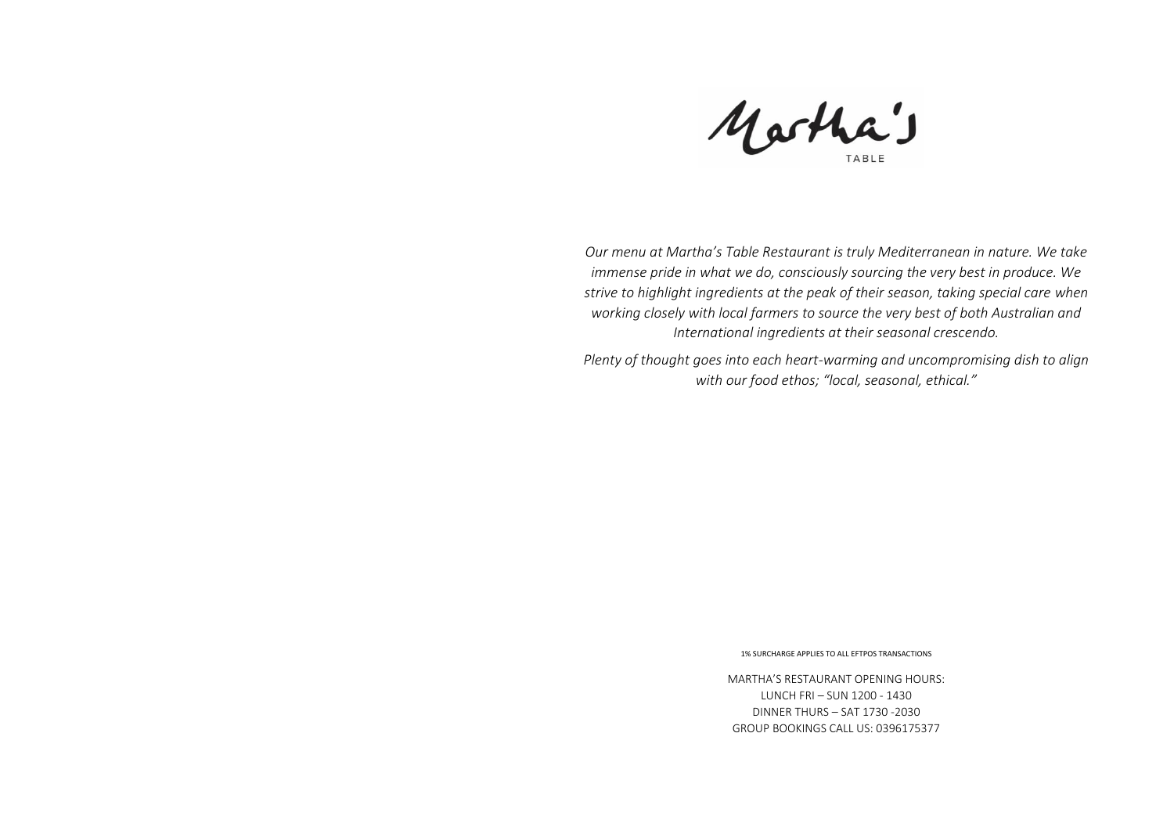Martha's

*Our menu at Martha's Table Restaurant is truly Mediterranean in nature. We take immense pride in what we do, consciously sourcing the very best in produce. We strive to highlight ingredients at the peak of their season, taking special care when working closely with local farmers to source the very best of both Australian and International ingredients at their seasonal crescendo.*

*Plenty of thought goes into each heart-warming and uncompromising dish to align with our food ethos; "local, seasonal, ethical."*

1% SURCHARGE APPLIES TO ALL EFTPOS TRANSACTIONS

MARTHA'S RESTAURANT OPENING HOURS: LUNCH FRI – SUN 1200 - 1430 DINNER THURS – SAT 1730 -2030 GROUP BOOKINGS CALL US: 0396175377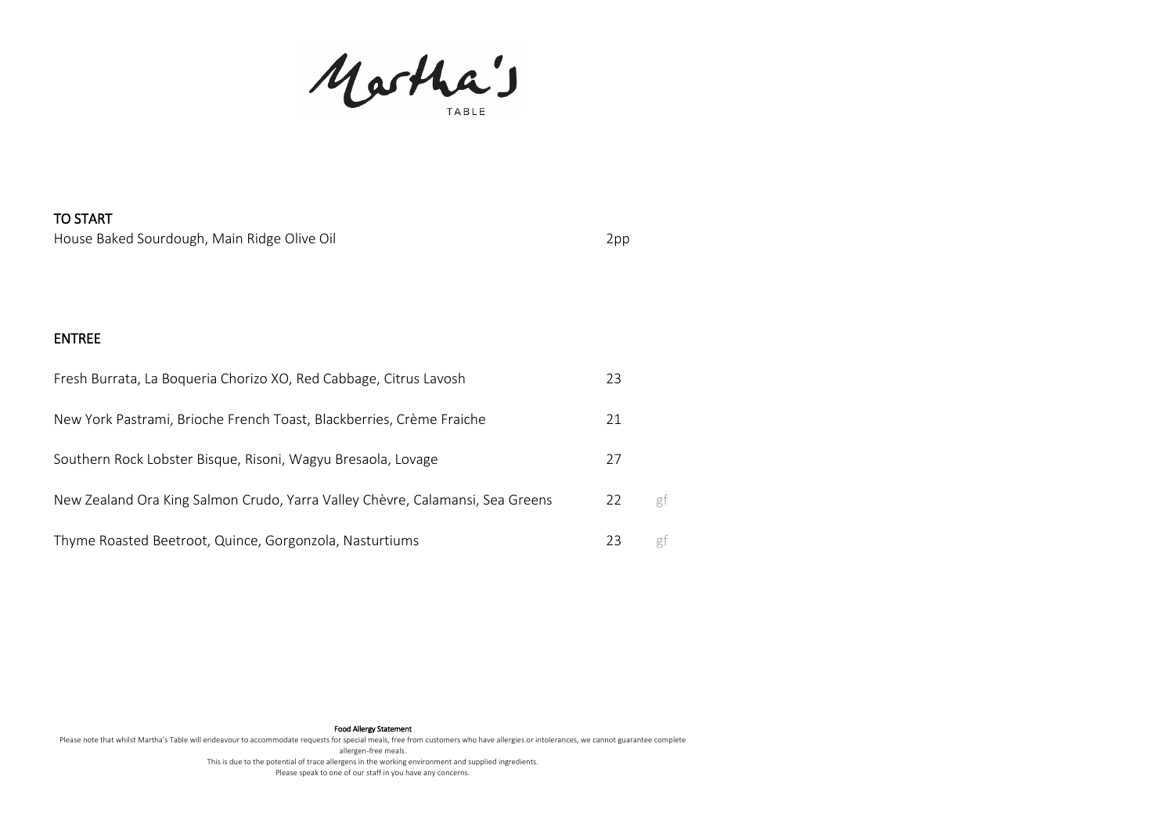Martha's

# TO START House Baked Sourdough, Main Ridge Olive Oil 2pp

### ENTREE

| Fresh Burrata, La Boqueria Chorizo XO, Red Cabbage, Citrus Lavosh             | 23 |    |
|-------------------------------------------------------------------------------|----|----|
| New York Pastrami, Brioche French Toast, Blackberries, Crème Fraiche          | 21 |    |
| Southern Rock Lobster Bisque, Risoni, Wagyu Bresaola, Lovage                  | 27 |    |
| New Zealand Ora King Salmon Crudo, Yarra Valley Chèvre, Calamansi, Sea Greens | 22 | gf |
| Thyme Roasted Beetroot, Quince, Gorgonzola, Nasturtiums                       | 23 |    |

#### Food Allergy Statement

Please note that whilst Martha's Table will endeavour to accommodate requests for special meals, free from customers who have allergies or intolerances, we cannot guarantee complete allergen-free meals. This is due to the potential of trace allergens in the working environment and supplied ingredients. Please speak to one of our staff in you have any concerns.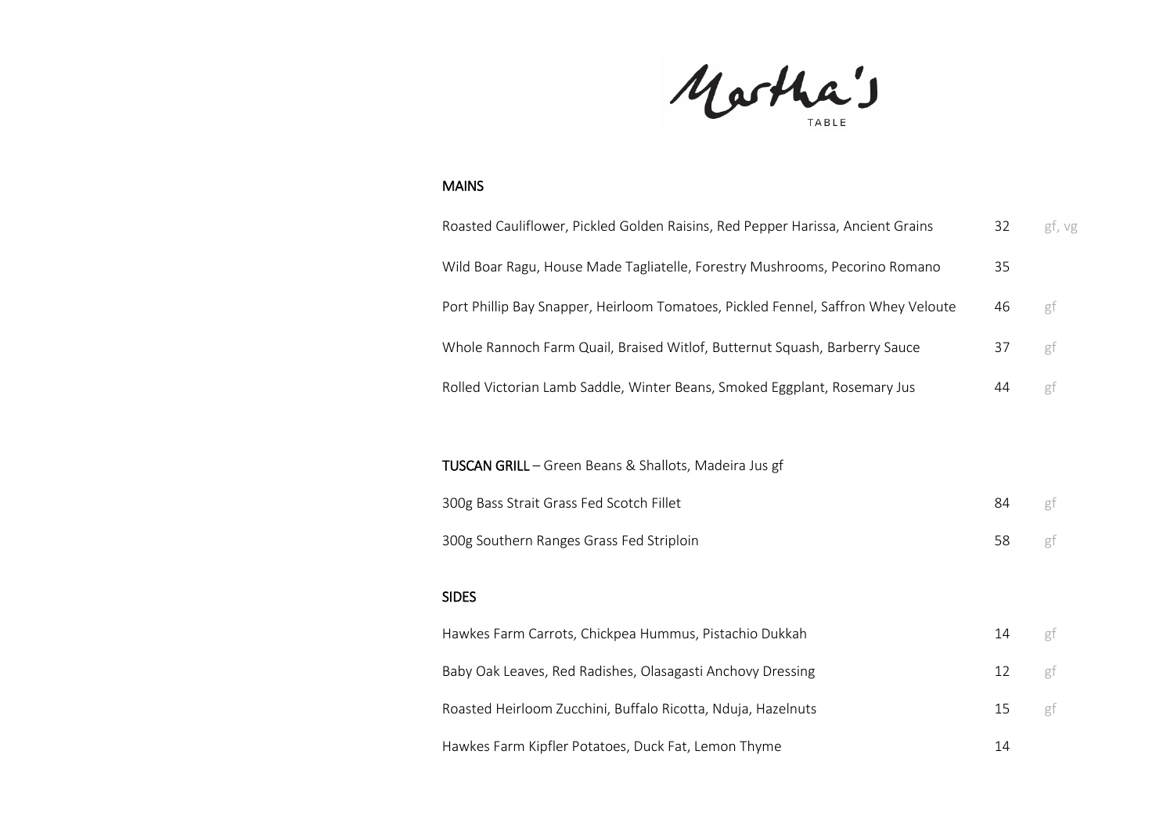Martha's

### MAINS

| Roasted Cauliflower, Pickled Golden Raisins, Red Pepper Harissa, Ancient Grains   | 32 | gf, vg |
|-----------------------------------------------------------------------------------|----|--------|
| Wild Boar Ragu, House Made Tagliatelle, Forestry Mushrooms, Pecorino Romano       | 35 |        |
| Port Phillip Bay Snapper, Heirloom Tomatoes, Pickled Fennel, Saffron Whey Veloute | 46 | gf     |
| Whole Rannoch Farm Quail, Braised Witlof, Butternut Squash, Barberry Sauce        | 37 | gf     |
| Rolled Victorian Lamb Saddle, Winter Beans, Smoked Eggplant, Rosemary Jus         | 44 | gf     |
|                                                                                   |    |        |
| TUSCAN GRILL - Green Beans & Shallots, Madeira Jus gf                             |    |        |
| 300g Bass Strait Grass Fed Scotch Fillet                                          | 84 | gf     |
| 300g Southern Ranges Grass Fed Striploin                                          | 58 | gf     |
| <b>SIDES</b>                                                                      |    |        |
| Hawkes Farm Carrots, Chickpea Hummus, Pistachio Dukkah                            | 14 | gf     |
| Baby Oak Leaves, Red Radishes, Olasagasti Anchovy Dressing                        | 12 | gf     |
| Roasted Heirloom Zucchini, Buffalo Ricotta, Nduja, Hazelnuts                      | 15 | gf     |

Hawkes Farm Kipfler Potatoes, Duck Fat, Lemon Thyme 14